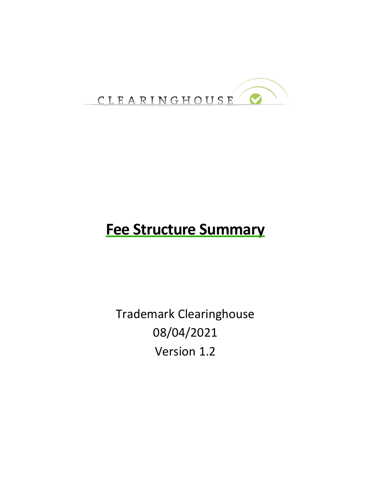

# **Fee Structure Summary**

Trademark Clearinghouse 08/04/2021 Version 1.2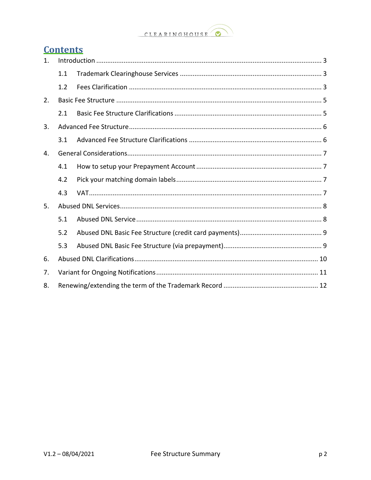#### CLEARINGHOUSE  $\bullet$

### **Contents**

| 1. |     |  |
|----|-----|--|
|    | 1.1 |  |
|    | 1.2 |  |
| 2. |     |  |
|    | 2.1 |  |
| 3. |     |  |
|    | 3.1 |  |
| 4. |     |  |
|    | 4.1 |  |
|    | 4.2 |  |
|    | 4.3 |  |
| 5. |     |  |
|    | 5.1 |  |
|    | 5.2 |  |
|    | 5.3 |  |
| 6. |     |  |
| 7. |     |  |
| 8. |     |  |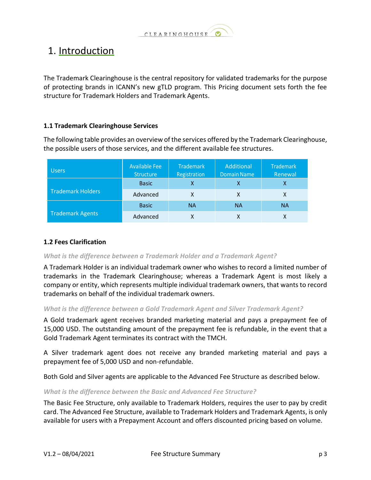

# <span id="page-2-0"></span>1. Introduction

The Trademark Clearinghouse is the central repository for validated trademarks for the purpose of protecting brands in ICANN's new gTLD program. This Pricing document sets forth the fee structure for Trademark Holders and Trademark Agents.

#### <span id="page-2-1"></span>**1.1 Trademark Clearinghouse Services**

The following table provides an overview of the services offered by the Trademark Clearinghouse, the possible users of those services, and the different available fee structures.

| <b>Users</b>             | <b>Available Fee</b><br><b>Structure</b> | <b>Trademark</b><br>Registration | Additional<br><b>Domain Name</b> | Trademark<br>Renewal |
|--------------------------|------------------------------------------|----------------------------------|----------------------------------|----------------------|
|                          | <b>Basic</b>                             |                                  | x                                | х                    |
| <b>Trademark Holders</b> | Advanced                                 |                                  | χ                                | X                    |
|                          | <b>Basic</b>                             | <b>NA</b>                        | <b>NA</b>                        | <b>NA</b>            |
| <b>Trademark Agents</b>  | Advanced                                 |                                  |                                  | x                    |

#### <span id="page-2-2"></span>**1.2 Fees Clarification**

*What is the difference between a Trademark Holder and a Trademark Agent?*

A Trademark Holder is an individual trademark owner who wishes to record a limited number of trademarks in the Trademark Clearinghouse; whereas a Trademark Agent is most likely a company or entity, which represents multiple individual trademark owners, that wants to record trademarks on behalf of the individual trademark owners.

#### *What is the difference between a Gold Trademark Agent and Silver Trademark Agent?*

A Gold trademark agent receives branded marketing material and pays a prepayment fee of 15,000 USD. The outstanding amount of the prepayment fee is refundable, in the event that a Gold Trademark Agent terminates its contract with the TMCH.

A Silver trademark agent does not receive any branded marketing material and pays a prepayment fee of 5,000 USD and non-refundable.

Both Gold and Silver agents are applicable to the Advanced Fee Structure as described below.

#### *What is the difference between the Basic and Advanced Fee Structure?*

The Basic Fee Structure, only available to Trademark Holders, requires the user to pay by credit card. The Advanced Fee Structure, available to Trademark Holders and Trademark Agents, is only available for users with a Prepayment Account and offers discounted pricing based on volume.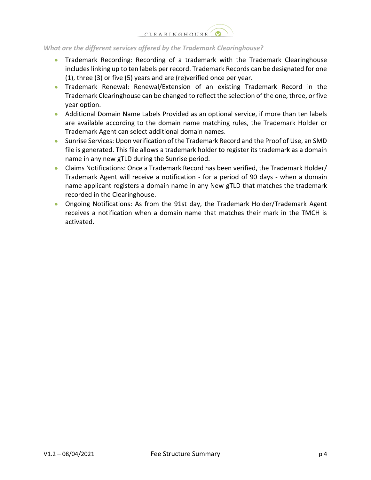

#### *What are the different services offered by the Trademark Clearinghouse?*

- Trademark Recording: Recording of a trademark with the Trademark Clearinghouse includes linking up to ten labels per record. Trademark Records can be designated for one (1), three (3) or five (5) years and are (re)verified once per year.
- Trademark Renewal: Renewal/Extension of an existing Trademark Record in the Trademark Clearinghouse can be changed to reflect the selection of the one, three, or five year option.
- Additional Domain Name Labels Provided as an optional service, if more than ten labels are available according to the domain name matching rules, the Trademark Holder or Trademark Agent can select additional domain names.
- Sunrise Services: Upon verification of the Trademark Record and the Proof of Use, an SMD file is generated. This file allows a trademark holder to register its trademark as a domain name in any new gTLD during the Sunrise period.
- Claims Notifications: Once a Trademark Record has been verified, the Trademark Holder/ Trademark Agent will receive a notification - for a period of 90 days - when a domain name applicant registers a domain name in any New gTLD that matches the trademark recorded in the Clearinghouse.
- Ongoing Notifications: As from the 91st day, the Trademark Holder/Trademark Agent receives a notification when a domain name that matches their mark in the TMCH is activated.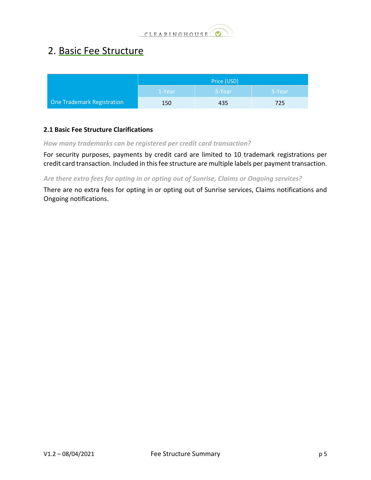

### <span id="page-4-0"></span>2. Basic Fee Structure

|                                   | Price (USD) |        |        |
|-----------------------------------|-------------|--------|--------|
|                                   | 1-Year      | 3-Year | 5-Year |
| <b>One Trademark Registration</b> | 150         | 435    | 725    |

#### <span id="page-4-1"></span>**2.1 Basic Fee Structure Clarifications**

*How many trademarks can be registered per credit card transaction?*

For security purposes, payments by credit card are limited to 10 trademark registrations per credit card transaction. Included in this fee structure are multiple labels per payment transaction.

*Are there extra fees for opting in or opting out of Sunrise, Claims or Ongoing services?*

There are no extra fees for opting in or opting out of Sunrise services, Claims notifications and Ongoing notifications.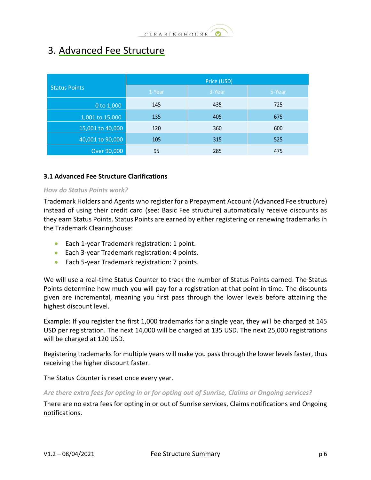

### <span id="page-5-0"></span>3. Advanced Fee Structure

|                      | Price (USD) |        |        |  |
|----------------------|-------------|--------|--------|--|
| <b>Status Points</b> | 1-Year      | 3-Year | 5-Year |  |
| 0 to 1,000           | 145         | 435    | 725    |  |
| 1,001 to 15,000      | 135         | 405    | 675    |  |
| 15,001 to 40,000     | 120         | 360    | 600    |  |
| 40,001 to 90,000     | 105         | 315    | 525    |  |
| Over 90,000          | 95          | 285    | 475    |  |

#### <span id="page-5-1"></span>**3.1 Advanced Fee Structure Clarifications**

#### *How do Status Points work?*

Trademark Holders and Agents who register for a Prepayment Account (Advanced Fee structure) instead of using their credit card (see: Basic Fee structure) automatically receive discounts as they earn Status Points. Status Points are earned by either registering or renewing trademarks in the Trademark Clearinghouse:

- Each 1-year Trademark registration: 1 point.
- Each 3-year Trademark registration: 4 points.
- Each 5-year Trademark registration: 7 points.

We will use a real-time Status Counter to track the number of Status Points earned. The Status Points determine how much you will pay for a registration at that point in time. The discounts given are incremental, meaning you first pass through the lower levels before attaining the highest discount level.

Example: If you register the first 1,000 trademarks for a single year, they will be charged at 145 USD per registration. The next 14,000 will be charged at 135 USD. The next 25,000 registrations will be charged at 120 USD.

Registering trademarks for multiple years will make you pass through the lower levels faster, thus receiving the higher discount faster.

The Status Counter is reset once every year.

#### *Are there extra fees for opting in or for opting out of Sunrise, Claims or Ongoing services?*

There are no extra fees for opting in or out of Sunrise services, Claims notifications and Ongoing notifications.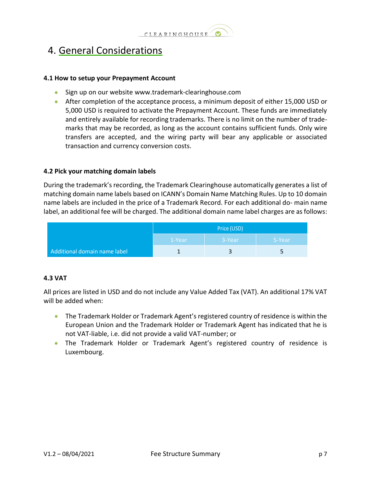### <span id="page-6-0"></span>4. General Considerations

#### <span id="page-6-1"></span>**4.1 How to setup your Prepayment Account**

- Sign up on our website [www.trademark-clearinghouse.com](http://www.trademark-clearinghouse.com/)
- After completion of the acceptance process, a minimum deposit of either 15,000 USD or 5,000 USD is required to activate the Prepayment Account. These funds are immediately and entirely available for recording trademarks. There is no limit on the number of trademarks that may be recorded, as long as the account contains sufficient funds. Only wire transfers are accepted, and the wiring party will bear any applicable or associated transaction and currency conversion costs.

#### <span id="page-6-2"></span>**4.2 Pick your matching domain labels**

During the trademark's recording, the Trademark Clearinghouse automatically generates a list of matching domain name labels based on ICANN's Domain Name Matching Rules. Up to 10 domain name labels are included in the price of a Trademark Record. For each additional do- main name label, an additional fee will be charged. The additional domain name label charges are as follows:

|                              | Price (USD) |        |        |
|------------------------------|-------------|--------|--------|
|                              | 1-Year      | 3-Year | 5-Year |
| Additional domain name label |             |        |        |

#### <span id="page-6-3"></span>**4.3 VAT**

All prices are listed in USD and do not include any Value Added Tax (VAT). An additional 17% VAT will be added when:

- The Trademark Holder or Trademark Agent's registered country of residence is within the European Union and the Trademark Holder or Trademark Agent has indicated that he is not VAT-liable, i.e. did not provide a valid VAT-number; or
- The Trademark Holder or Trademark Agent's registered country of residence is Luxembourg.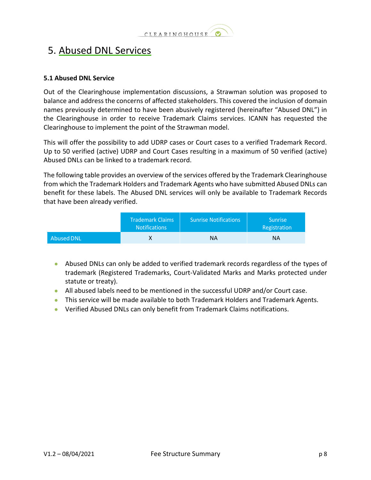

### <span id="page-7-0"></span>5. Abused DNL Services

#### <span id="page-7-1"></span>**5.1 Abused DNL Service**

Out of the Clearinghouse implementation discussions, a Strawman solution was proposed to balance and address the concerns of affected stakeholders. This covered the inclusion of domain names previously determined to have been abusively registered (hereinafter "Abused DNL") in the Clearinghouse in order to receive Trademark Claims services. ICANN has requested the Clearinghouse to implement the point of the Strawman model.

This will offer the possibility to add UDRP cases or Court cases to a verified Trademark Record. Up to 50 verified (active) UDRP and Court Cases resulting in a maximum of 50 verified (active) Abused DNLs can be linked to a trademark record.

The following table provides an overview of the services offered by the Trademark Clearinghouse from which the Trademark Holders and Trademark Agents who have submitted Abused DNLs can benefit for these labels. The Abused DNL services will only be available to Trademark Records that have been already verified.

|                   | <b>Trademark Claims</b><br><b>Notifications</b> | <b>Sunrise Notifications</b> | <b>Sunrise</b><br>Registration |
|-------------------|-------------------------------------------------|------------------------------|--------------------------------|
| <b>Abused DNL</b> |                                                 | ΝA                           | <b>NA</b>                      |

- Abused DNLs can only be added to verified trademark records regardless of the types of trademark (Registered Trademarks, Court-Validated Marks and Marks protected under statute or treaty).
- All abused labels need to be mentioned in the successful UDRP and/or Court case.
- This service will be made available to both Trademark Holders and Trademark Agents.
- Verified Abused DNLs can only benefit from Trademark Claims notifications.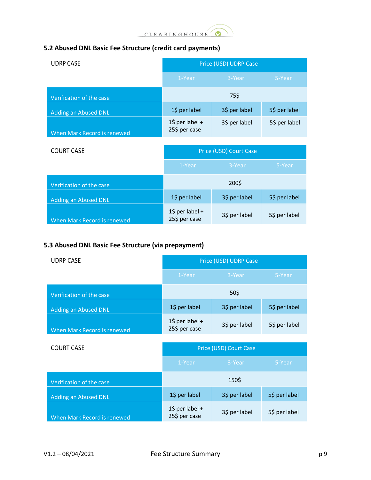

### <span id="page-8-0"></span>**5.2 Abused DNL Basic Fee Structure (credit card payments)**

| <b>UDRP CASE</b>            | Price (USD) UDRP Case                        |               |               |
|-----------------------------|----------------------------------------------|---------------|---------------|
|                             | 1-Year                                       | 3-Year        | 5-Year        |
| Verification of the case    |                                              | 75\$          |               |
| <b>Adding an Abused DNL</b> | 1\$ per label                                | 3\$ per label | 5\$ per label |
| When Mark Record is renewed | $1\overline{5}$ per label +<br>25\$ per case | 3\$ per label | 5\$ per label |

| <b>COURT CASE</b>           | Price (USD) Court Case                      |               |               |
|-----------------------------|---------------------------------------------|---------------|---------------|
|                             | 1-Year                                      | 3-Year        | 5-Year        |
| Verification of the case    |                                             | 200\$         |               |
| <b>Adding an Abused DNL</b> | 1\$ per label                               | 3\$ per label | 5\$ per label |
| When Mark Record is renewed | $1\frac{2}{3}$ per label +<br>25\$ per case | 3\$ per label | 5\$ per label |

### <span id="page-8-1"></span>**5.3 Abused DNL Basic Fee Structure (via prepayment)**

| <b>UDRP CASE</b>            | Price (USD) UDRP Case            |               |               |
|-----------------------------|----------------------------------|---------------|---------------|
|                             | 1-Year                           | 3-Year        | 5-Year        |
| Verification of the case    |                                  | 50\$          |               |
| Adding an Abused DNL        | 1\$ per label                    | 3\$ per label | 5\$ per label |
| When Mark Record is renewed | 1\$ per label +<br>25\$ per case | 3\$ per label | 5\$ per label |

| <b>COURT CASE</b>           | Price (USD) Court Case                      |               |               |
|-----------------------------|---------------------------------------------|---------------|---------------|
|                             | 1-Year                                      | 3-Year        | 5-Year        |
| Verification of the case    |                                             | 150\$         |               |
| <b>Adding an Abused DNL</b> | 1\$ per label                               | 3\$ per label | 5\$ per label |
| When Mark Record is renewed | $1\frac{2}{3}$ per label +<br>25\$ per case | 3\$ per label | 5\$ per label |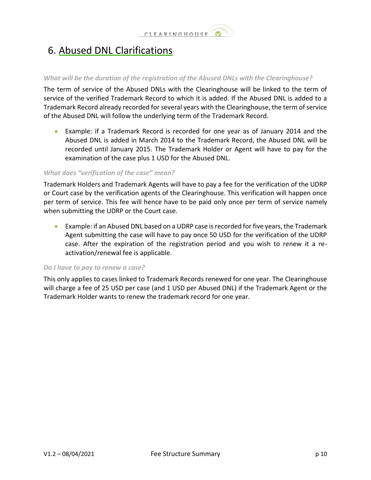# <span id="page-9-0"></span>6. Abused DNL Clarifications

#### *What will be the duration of the registration of the Abused DNLs with the Clearinghouse?*

The term of service of the Abused DNLs with the Clearinghouse will be linked to the term of service of the verified Trademark Record to which it is added. If the Abused DNL is added to a Trademark Record already recorded for several years with the Clearinghouse, the term of service of the Abused DNL will follow the underlying term of the Trademark Record.

• Example: if a Trademark Record is recorded for one year as of January 2014 and the Abused DNL is added in March 2014 to the Trademark Record, the Abused DNL will be recorded until January 2015. The Trademark Holder or Agent will have to pay for the examination of the case plus 1 USD for the Abused DNL.

#### *What does "verification of the case" mean?*

Trademark Holders and Trademark Agents will have to pay a fee for the verification of the UDRP or Court case by the verification agents of the Clearinghouse. This verification will happen once per term of service. This fee will hence have to be paid only once per term of service namely when submitting the UDRP or the Court case.

• Example: if an Abused DNL based on a UDRP case is recorded for five years, the Trademark Agent submitting the case will have to pay once 50 USD for the verification of the UDRP case. After the expiration of the registration period and you wish to renew it a reactivation/renewal fee is applicable.

#### *Do I have to pay to renew a case?*

This only applies to cases linked to Trademark Records renewed for one year. The Clearinghouse will charge a fee of 25 USD per case (and 1 USD per Abused DNL) if the Trademark Agent or the Trademark Holder wants to renew the trademark record for one year.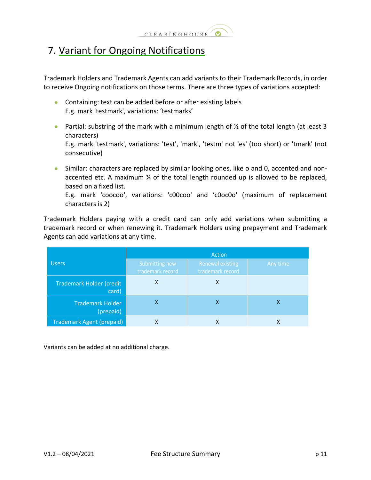

### <span id="page-10-0"></span>7. Variant for Ongoing Notifications

Trademark Holders and Trademark Agents can add variants to their Trademark Records, in order to receive Ongoing notifications on those terms. There are three types of variations accepted:

- Containing: text can be added before or after existing labels E.g. mark 'testmark', variations: 'testmarks'
- Partial: substring of the mark with a minimum length of  $\frac{1}{2}$  of the total length (at least 3 characters)

E.g. mark 'testmark', variations: 'test', 'mark', 'testm' not 'es' (too short) or 'tmark' (not consecutive)

• Similar: characters are replaced by similar looking ones, like o and 0, accented and nonaccented etc. A maximum ¼ of the total length rounded up is allowed to be replaced, based on a fixed list.

E.g. mark 'coocoo', variations: 'c00coo' and 'c0oc0o' (maximum of replacement characters is 2)

Trademark Holders paying with a credit card can only add variations when submitting a trademark record or when renewing it. Trademark Holders using prepayment and Trademark Agents can add variations at any time.

|                                      | Action                             |                                             |          |  |
|--------------------------------------|------------------------------------|---------------------------------------------|----------|--|
| <b>Users</b>                         | Submitting new<br>trademark record | <b>Renewal existing</b><br>trademark record | Any time |  |
| Trademark Holder (credit<br>card)    | Χ                                  | Χ                                           |          |  |
| <b>Trademark Holder</b><br>(prepaid) | х                                  | χ                                           | х        |  |
| <b>Trademark Agent (prepaid)</b>     | χ                                  | χ                                           | x        |  |

Variants can be added at no additional charge.